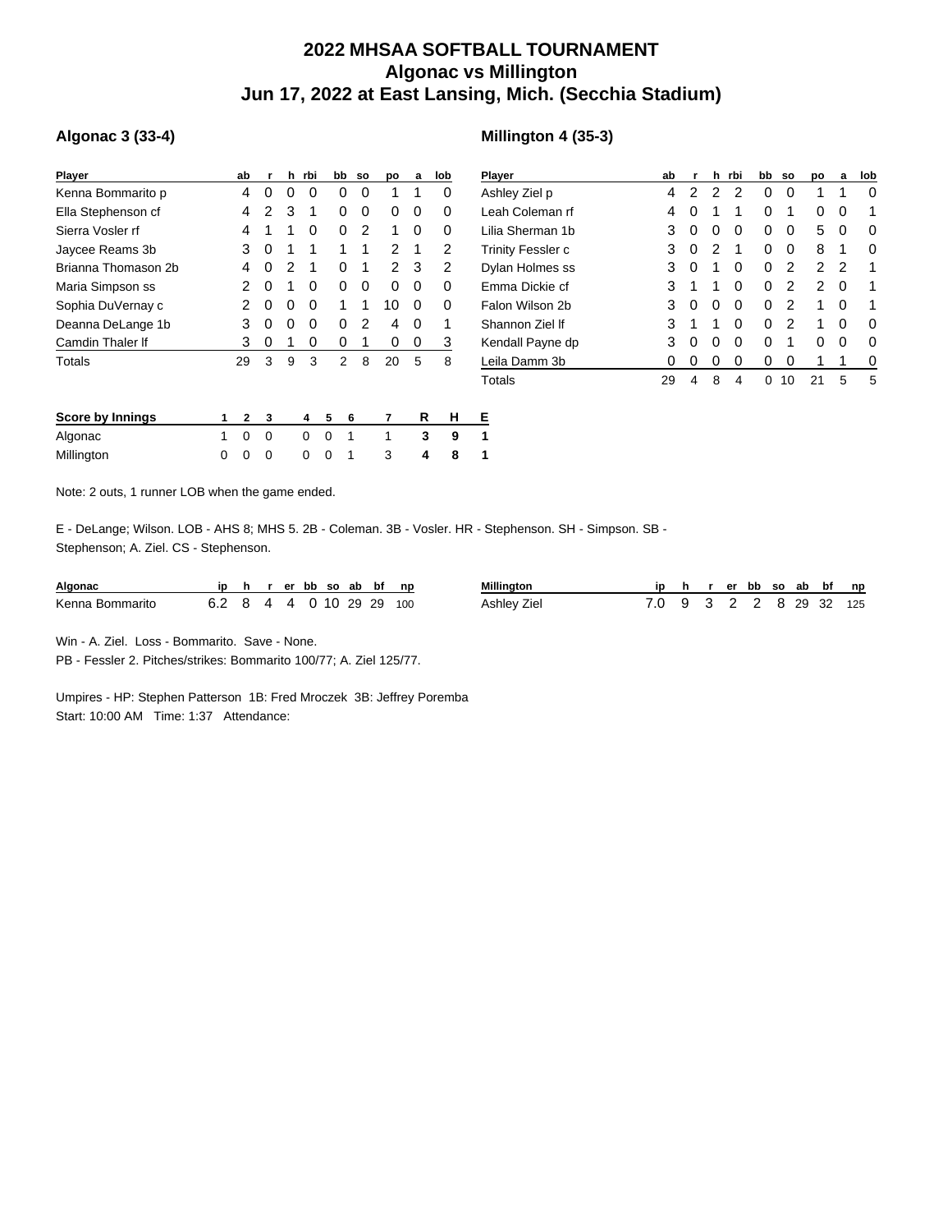## **2022 MHSAA SOFTBALL TOURNAMENT Algonac vs Millington Jun 17, 2022 at East Lansing, Mich. (Secchia Stadium)**

## **Algonac 3 (33-4)**

|   | ab | r        | h | rbi |   |   |                                                      | po        | a | lob | P                          |
|---|----|----------|---|-----|---|---|------------------------------------------------------|-----------|---|-----|----------------------------|
|   | 4  | 0        | 0 | 0   |   |   | 0                                                    | 1         | 1 | 0   | Α                          |
|   | 4  | 2        | 3 | 1   |   |   | 0                                                    | 0         | 0 | 0   |                            |
|   | 4  | 1        | 1 | 0   |   |   | 2                                                    | 1         | 0 | 0   |                            |
|   | 3  | 0        | 1 | 1   |   |   | 1                                                    | 2         | 1 | 2   | т                          |
|   | 4  | 0        | 2 | 1   |   |   | 1                                                    | 2         | 3 | 2   | D                          |
|   | 2  | 0        | 1 | 0   |   |   | 0                                                    | 0         | 0 | 0   | E                          |
|   | 2  | 0        | 0 | 0   |   |   | 1                                                    | 10        | 0 | 0   | F                          |
|   | 3  | 0        | 0 | 0   |   |   | 2                                                    | 4         | 0 | 1   | S                          |
|   | 3  | 0        | 1 | 0   |   |   | 1                                                    | 0         | 0 | 3   | Κ                          |
|   | 29 | 3        | 9 | 3   |   |   | 8                                                    | 20        | 5 | 8   | T                          |
|   | 2  | 3        |   | 4   | 5 | 6 |                                                      | 7         |   |     | Е                          |
| 1 | 0  | $\Omega$ |   | 0   | 0 | 1 |                                                      | 1         |   |     | 1                          |
| O |    | ი        |   | 0   | O | 1 |                                                      | 3         |   |     | 1                          |
|   |    |          |   |     |   |   | bb<br>0<br>0<br>0<br>1<br>0<br>0<br>1<br>0<br>0<br>2 | <b>SO</b> |   |     | R<br>н<br>3<br>9<br>8<br>4 |

| <b>Player</b>            | ab | r | h | rbi | bb           | <b>SO</b> | po | a | lob |
|--------------------------|----|---|---|-----|--------------|-----------|----|---|-----|
| Ashley Ziel p            | 4  | 2 | 2 | 2   | 0            | 0         | 1  | 1 | 0   |
| Leah Coleman rf          | 4  | 0 | 1 | 1   | 0            | 1         | Ω  | 0 | 1   |
| Lilia Sherman 1b         | 3  | 0 | 0 | 0   | 0            | 0         | 5  | 0 | 0   |
| <b>Trinity Fessler c</b> | 3  | 0 | 2 | 1   | 0            | 0         | 8  | 1 | 0   |
| Dylan Holmes ss          | 3  | 0 | 1 | 0   | 0            | 2         | 2  | 2 | 1   |
| Emma Dickie cf           | 3  | 1 | 1 | 0   | 0            | 2         | 2  | 0 | 1   |
| Falon Wilson 2b          | 3  | 0 | O | 0   | 0            | 2         | 1  | 0 | 1   |
| Shannon Ziel If          | 3  | 1 | 1 | 0   | 0            | 2         | 1  | 0 | 0   |
| Kendall Payne dp         | 3  | 0 | O | 0   | 0            | 1         | O  | 0 | O   |
| Leila Damm 3b            | 0  | 0 | Ω | 0   | 0            | 0         | 1  | 1 | 0   |
| Totals                   | 29 | 4 | 8 | 4   | $\mathbf{0}$ | 10        | 21 | 5 | 5   |

Note: 2 outs, 1 runner LOB when the game ended.

E - DeLange; Wilson. LOB - AHS 8; MHS 5. 2B - Coleman. 3B - Vosler. HR - Stephenson. SH - Simpson. SB - Stephenson; A. Ziel. CS - Stephenson.

| Algonac         |                          |  |  |  | h rerbb so ab bf np | <b>Millington</b> |  |  |  | r er bb so ab bf np     |  |
|-----------------|--------------------------|--|--|--|---------------------|-------------------|--|--|--|-------------------------|--|
| Kenna Bommarito | 6.2 8 4 4 0 10 29 29 100 |  |  |  |                     | Ashley Ziel       |  |  |  | 7.0 9 3 2 2 8 29 32 125 |  |

Win - A. Ziel. Loss - Bommarito. Save - None.

PB - Fessler 2. Pitches/strikes: Bommarito 100/77; A. Ziel 125/77.

Umpires - HP: Stephen Patterson 1B: Fred Mroczek 3B: Jeffrey Poremba Start: 10:00 AM Time: 1:37 Attendance:

## **Millington 4 (35-3)**